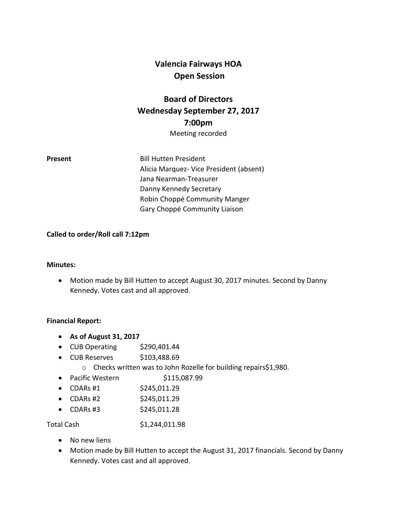# **Valencia Fairways HOA Open Session**

# **Board of Directors Wednesday September 27, 2017 7:00pm**

Meeting recorded

**Present** Bill Hutten President Alicia Marquez- Vice President (absent) Jana Nearman-Treasurer Danny Kennedy Secretary Robin Choppé Community Manger Gary Choppé Community Liaison

#### **Called to order/Roll call 7:12pm**

#### **Minutes:**

 Motion made by Bill Hutten to accept August 30, 2017 minutes. Second by Danny Kennedy. Votes cast and all approved.

#### **Financial Report:**

- **As of August 31, 2017**
- CUB Operating \$290,401.44
- $\bullet$  CUB Reserves  $$103,488.69$ 
	- o Checks written was to John Rozelle for building repairs\$1,980.
- Pacific Western \$115,087.99
- CDARs #1  $$245,011.29$
- CDARs #2  $$245,011.29$
- CDARs #3 \$245,011.28

Total Cash \$1,244,011.98

- No new liens
- Motion made by Bill Hutten to accept the August 31, 2017 financials. Second by Danny Kennedy. Votes cast and all approved.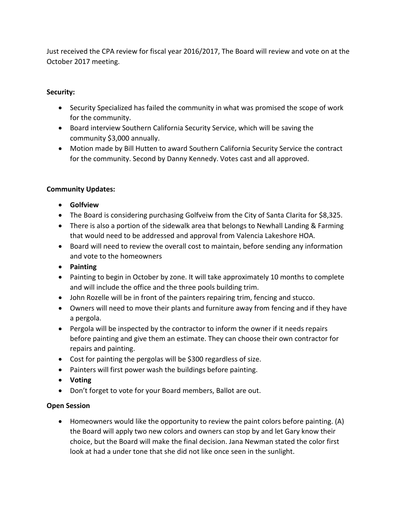Just received the CPA review for fiscal year 2016/2017, The Board will review and vote on at the October 2017 meeting.

## **Security:**

- Security Specialized has failed the community in what was promised the scope of work for the community.
- Board interview Southern California Security Service, which will be saving the community \$3,000 annually.
- Motion made by Bill Hutten to award Southern California Security Service the contract for the community. Second by Danny Kennedy. Votes cast and all approved.

# **Community Updates:**

- **Golfview**
- The Board is considering purchasing Golfveiw from the City of Santa Clarita for \$8,325.
- There is also a portion of the sidewalk area that belongs to Newhall Landing & Farming that would need to be addressed and approval from Valencia Lakeshore HOA.
- Board will need to review the overall cost to maintain, before sending any information and vote to the homeowners
- **Painting**
- Painting to begin in October by zone. It will take approximately 10 months to complete and will include the office and the three pools building trim.
- John Rozelle will be in front of the painters repairing trim, fencing and stucco.
- Owners will need to move their plants and furniture away from fencing and if they have a pergola.
- Pergola will be inspected by the contractor to inform the owner if it needs repairs before painting and give them an estimate. They can choose their own contractor for repairs and painting.
- Cost for painting the pergolas will be \$300 regardless of size.
- Painters will first power wash the buildings before painting.
- **Voting**
- Don't forget to vote for your Board members, Ballot are out.

### **Open Session**

 Homeowners would like the opportunity to review the paint colors before painting. (A) the Board will apply two new colors and owners can stop by and let Gary know their choice, but the Board will make the final decision. Jana Newman stated the color first look at had a under tone that she did not like once seen in the sunlight.